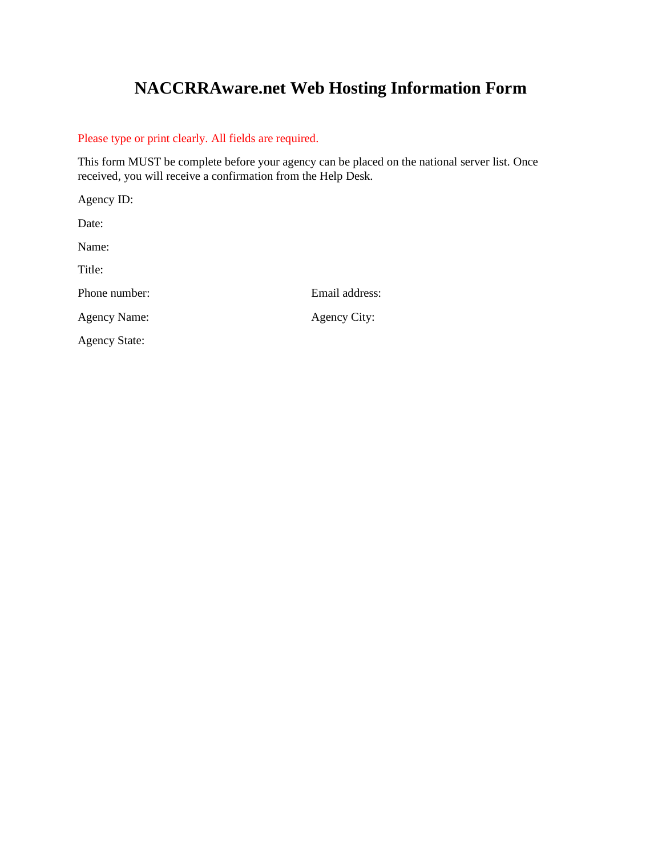# **NACCRRAware.net Web Hosting Information Form**

# Please type or print clearly. All fields are required.

This form MUST be complete before your agency can be placed on the national server list. Once received, you will receive a confirmation from the Help Desk.

Agency ID: Date: Name: Title: Phone number: Email address: Agency Name: Agency City: Agency State: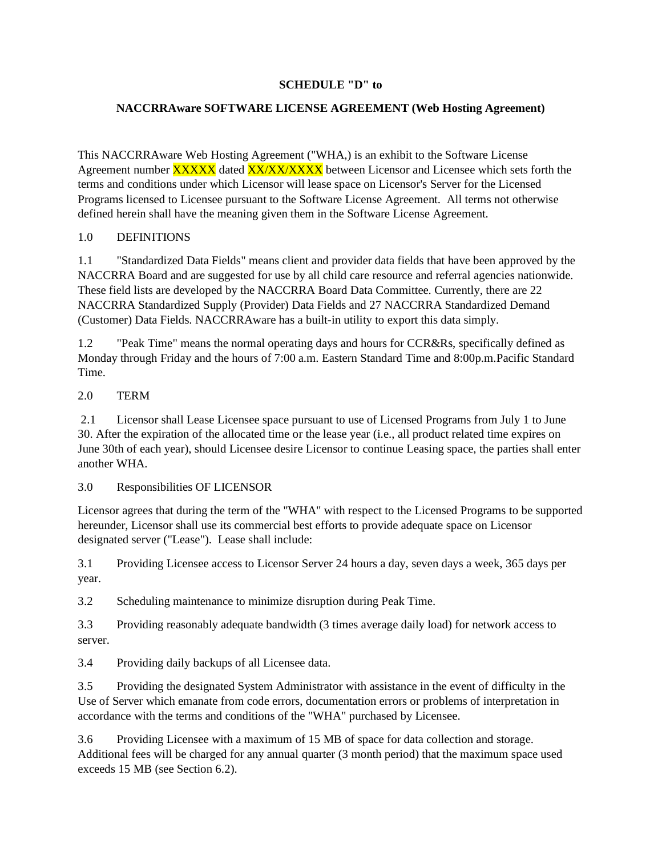# **SCHEDULE "D" to**

# **NACCRRAware SOFTWARE LICENSE AGREEMENT (Web Hosting Agreement)**

This NACCRRAware Web Hosting Agreement ("WHA,) is an exhibit to the Software License Agreement number **XXXXX** dated **XX/XX/XXXX** between Licensor and Licensee which sets forth the terms and conditions under which Licensor will lease space on Licensor's Server for the Licensed Programs licensed to Licensee pursuant to the Software License Agreement. All terms not otherwise defined herein shall have the meaning given them in the Software License Agreement.

## 1.0 DEFINITIONS

1.1 "Standardized Data Fields" means client and provider data fields that have been approved by the NACCRRA Board and are suggested for use by all child care resource and referral agencies nationwide. These field lists are developed by the NACCRRA Board Data Committee. Currently, there are 22 NACCRRA Standardized Supply (Provider) Data Fields and 27 NACCRRA Standardized Demand (Customer) Data Fields. NACCRRAware has a built-in utility to export this data simply.

1.2 "Peak Time" means the normal operating days and hours for CCR&Rs, specifically defined as Monday through Friday and the hours of 7:00 a.m. Eastern Standard Time and 8:00p.m.Pacific Standard Time.

### 2.0 TERM

2.1 Licensor shall Lease Licensee space pursuant to use of Licensed Programs from July 1 to June 30. After the expiration of the allocated time or the lease year (i.e., all product related time expires on June 30th of each year), should Licensee desire Licensor to continue Leasing space, the parties shall enter another WHA.

3.0 Responsibilities OF LICENSOR

Licensor agrees that during the term of the "WHA" with respect to the Licensed Programs to be supported hereunder, Licensor shall use its commercial best efforts to provide adequate space on Licensor designated server ("Lease"). Lease shall include:

3.1 Providing Licensee access to Licensor Server 24 hours a day, seven days a week, 365 days per year.

3.2 Scheduling maintenance to minimize disruption during Peak Time.

3.3 Providing reasonably adequate bandwidth (3 times average daily load) for network access to server.

3.4 Providing daily backups of all Licensee data.

3.5 Providing the designated System Administrator with assistance in the event of difficulty in the Use of Server which emanate from code errors, documentation errors or problems of interpretation in accordance with the terms and conditions of the "WHA" purchased by Licensee.

3.6 Providing Licensee with a maximum of 15 MB of space for data collection and storage. Additional fees will be charged for any annual quarter (3 month period) that the maximum space used exceeds 15 MB (see Section 6.2).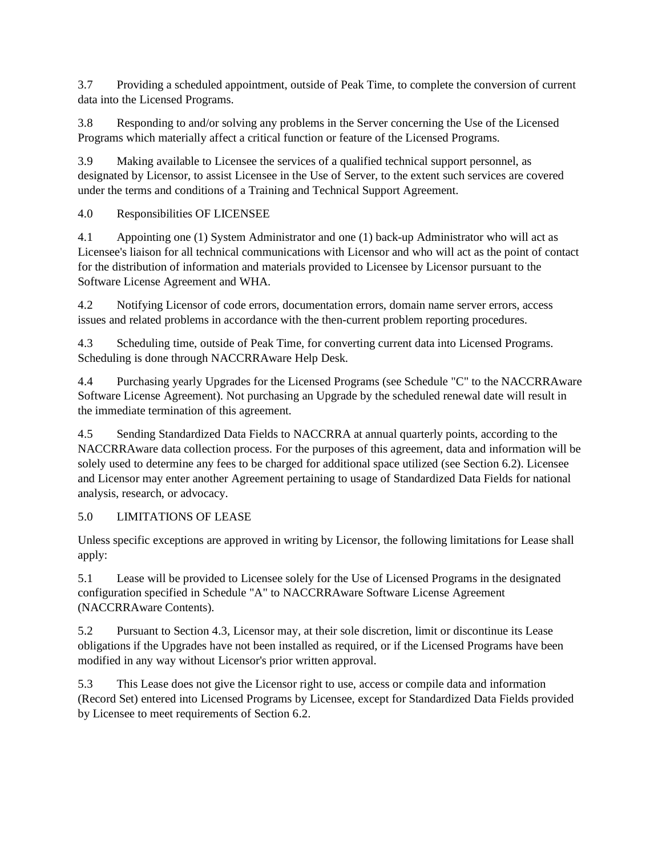3.7 Providing a scheduled appointment, outside of Peak Time, to complete the conversion of current data into the Licensed Programs.

3.8 Responding to and/or solving any problems in the Server concerning the Use of the Licensed Programs which materially affect a critical function or feature of the Licensed Programs.

3.9 Making available to Licensee the services of a qualified technical support personnel, as designated by Licensor, to assist Licensee in the Use of Server, to the extent such services are covered under the terms and conditions of a Training and Technical Support Agreement.

4.0 Responsibilities OF LICENSEE

4.1 Appointing one (1) System Administrator and one (1) back-up Administrator who will act as Licensee's liaison for all technical communications with Licensor and who will act as the point of contact for the distribution of information and materials provided to Licensee by Licensor pursuant to the Software License Agreement and WHA.

4.2 Notifying Licensor of code errors, documentation errors, domain name server errors, access issues and related problems in accordance with the then-current problem reporting procedures.

4.3 Scheduling time, outside of Peak Time, for converting current data into Licensed Programs. Scheduling is done through NACCRRAware Help Desk.

4.4 Purchasing yearly Upgrades for the Licensed Programs (see Schedule "C" to the NACCRRAware Software License Agreement). Not purchasing an Upgrade by the scheduled renewal date will result in the immediate termination of this agreement.

4.5 Sending Standardized Data Fields to NACCRRA at annual quarterly points, according to the NACCRRAware data collection process. For the purposes of this agreement, data and information will be solely used to determine any fees to be charged for additional space utilized (see Section 6.2). Licensee and Licensor may enter another Agreement pertaining to usage of Standardized Data Fields for national analysis, research, or advocacy.

5.0 LIMITATIONS OF LEASE

Unless specific exceptions are approved in writing by Licensor, the following limitations for Lease shall apply:

5.1 Lease will be provided to Licensee solely for the Use of Licensed Programs in the designated configuration specified in Schedule "A" to NACCRRAware Software License Agreement (NACCRRAware Contents).

5.2 Pursuant to Section 4.3, Licensor may, at their sole discretion, limit or discontinue its Lease obligations if the Upgrades have not been installed as required, or if the Licensed Programs have been modified in any way without Licensor's prior written approval.

5.3 This Lease does not give the Licensor right to use, access or compile data and information (Record Set) entered into Licensed Programs by Licensee, except for Standardized Data Fields provided by Licensee to meet requirements of Section 6.2.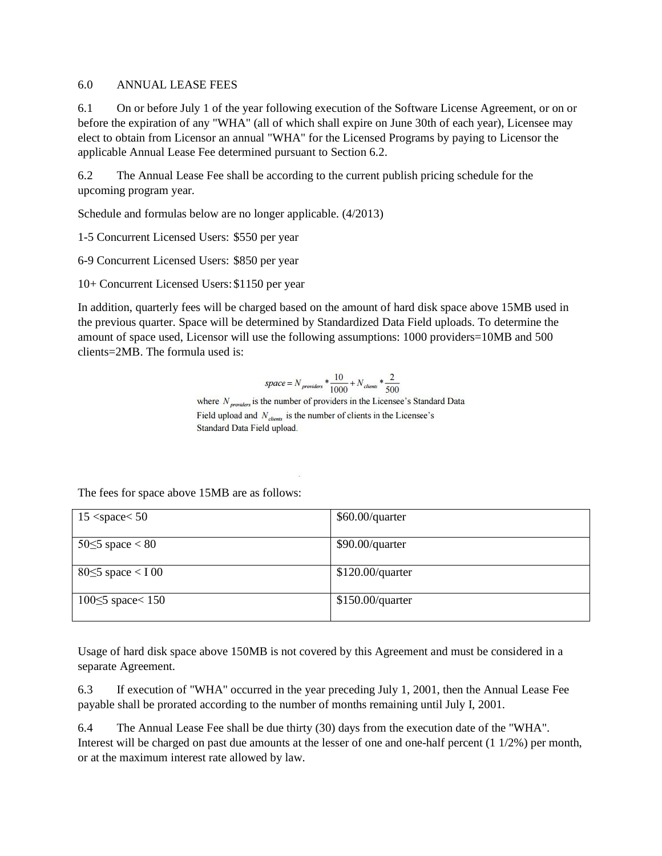## 6.0 ANNUAL LEASE FEES

6.1 On or before July 1 of the year following execution of the Software License Agreement, or on or before the expiration of any "WHA" (all of which shall expire on June 30th of each year), Licensee may elect to obtain from Licensor an annual "WHA" for the Licensed Programs by paying to Licensor the applicable Annual Lease Fee determined pursuant to Section 6.2.

6.2 The Annual Lease Fee shall be according to the current publish pricing schedule for the upcoming program year.

Schedule and formulas below are no longer applicable. (4/2013)

1-5 Concurrent Licensed Users: \$550 per year

6-9 Concurrent Licensed Users: \$850 per year

10+ Concurrent Licensed Users:\$1150 per year

In addition, quarterly fees will be charged based on the amount of hard disk space above 15MB used in the previous quarter. Space will be determined by Standardized Data Field uploads. To determine the amount of space used, Licensor will use the following assumptions: 1000 providers=10MB and 500 clients=2MB. The formula used is:

$$
space = N_{providers} * \frac{10}{1000} + N_{cleans} * \frac{2}{500}
$$

where  $N_{\text{numerics}}$  is the number of providers in the Licensee's Standard Data Field upload and  $N_{\text{elements}}$  is the number of clients in the Licensee's Standard Data Field upload.

The fees for space above 15MB are as follows:

| $15$ <space <math="">50</space> | $$60.00$ /quarter |
|---------------------------------|-------------------|
|                                 |                   |
| 50 $\leq$ 5 space $<$ 80        | $$90.00$ /quarter |
| $80 \leq 5$ space $< 100$       | \$120.00/quarter  |
| 100 $\leq$ 5 space $<$ 150      | \$150.00/quarter  |

Usage of hard disk space above 150MB is not covered by this Agreement and must be considered in a separate Agreement.

6.3 If execution of "WHA" occurred in the year preceding July 1, 2001, then the Annual Lease Fee payable shall be prorated according to the number of months remaining until July I, 2001.

6.4 The Annual Lease Fee shall be due thirty (30) days from the execution date of the "WHA". Interest will be charged on past due amounts at the lesser of one and one-half percent (1 1/2%) per month, or at the maximum interest rate allowed by law.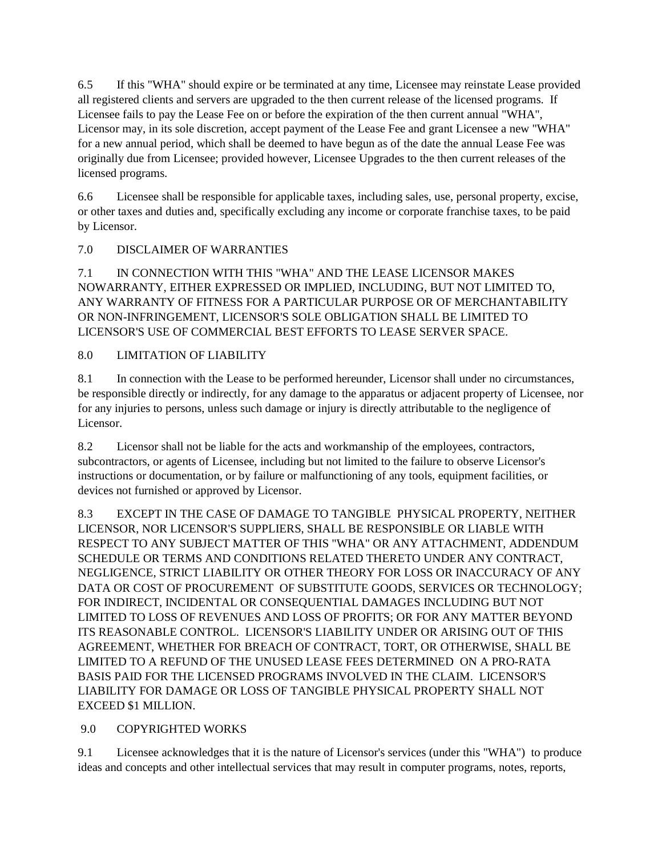6.5 If this "WHA" should expire or be terminated at any time, Licensee may reinstate Lease provided all registered clients and servers are upgraded to the then current release of the licensed programs. If Licensee fails to pay the Lease Fee on or before the expiration of the then current annual "WHA", Licensor may, in its sole discretion, accept payment of the Lease Fee and grant Licensee a new "WHA" for a new annual period, which shall be deemed to have begun as of the date the annual Lease Fee was originally due from Licensee; provided however, Licensee Upgrades to the then current releases of the licensed programs.

6.6 Licensee shall be responsible for applicable taxes, including sales, use, personal property, excise, or other taxes and duties and, specifically excluding any income or corporate franchise taxes, to be paid by Licensor.

# 7.0 DISCLAIMER OF WARRANTIES

7.1 IN CONNECTION WITH THIS "WHA" AND THE LEASE LICENSOR MAKES NOWARRANTY, EITHER EXPRESSED OR IMPLIED, INCLUDING, BUT NOT LIMITED TO, ANY WARRANTY OF FITNESS FOR A PARTICULAR PURPOSE OR OF MERCHANTABILITY OR NON-INFRINGEMENT, LICENSOR'S SOLE OBLIGATION SHALL BE LIMITED TO LICENSOR'S USE OF COMMERCIAL BEST EFFORTS TO LEASE SERVER SPACE.

# 8.0 LIMITATION OF LIABILITY

8.1 In connection with the Lease to be performed hereunder, Licensor shall under no circumstances, be responsible directly or indirectly, for any damage to the apparatus or adjacent property of Licensee, nor for any injuries to persons, unless such damage or injury is directly attributable to the negligence of Licensor.

8.2 Licensor shall not be liable for the acts and workmanship of the employees, contractors, subcontractors, or agents of Licensee, including but not limited to the failure to observe Licensor's instructions or documentation, or by failure or malfunctioning of any tools, equipment facilities, or devices not furnished or approved by Licensor.

8.3 EXCEPT IN THE CASE OF DAMAGE TO TANGIBLE PHYSICAL PROPERTY, NEITHER LICENSOR, NOR LICENSOR'S SUPPLIERS, SHALL BE RESPONSIBLE OR LIABLE WITH RESPECT TO ANY SUBJECT MATTER OF THIS "WHA" OR ANY ATTACHMENT, ADDENDUM SCHEDULE OR TERMS AND CONDITIONS RELATED THERETO UNDER ANY CONTRACT, NEGLIGENCE, STRICT LIABILITY OR OTHER THEORY FOR LOSS OR INACCURACY OF ANY DATA OR COST OF PROCUREMENT OF SUBSTITUTE GOODS, SERVICES OR TECHNOLOGY; FOR INDIRECT, INCIDENTAL OR CONSEQUENTIAL DAMAGES INCLUDING BUT NOT LIMITED TO LOSS OF REVENUES AND LOSS OF PROFITS; OR FOR ANY MATTER BEYOND ITS REASONABLE CONTROL. LICENSOR'S LIABILITY UNDER OR ARISING OUT OF THIS AGREEMENT, WHETHER FOR BREACH OF CONTRACT, TORT, OR OTHERWISE, SHALL BE LIMITED TO A REFUND OF THE UNUSED LEASE FEES DETERMINED ON A PRO-RATA BASIS PAID FOR THE LICENSED PROGRAMS INVOLVED IN THE CLAIM. LICENSOR'S LIABILITY FOR DAMAGE OR LOSS OF TANGIBLE PHYSICAL PROPERTY SHALL NOT EXCEED \$1 MILLION.

# 9.0 COPYRIGHTED WORKS

9.1 Licensee acknowledges that it is the nature of Licensor's services (under this "WHA") to produce ideas and concepts and other intellectual services that may result in computer programs, notes, reports,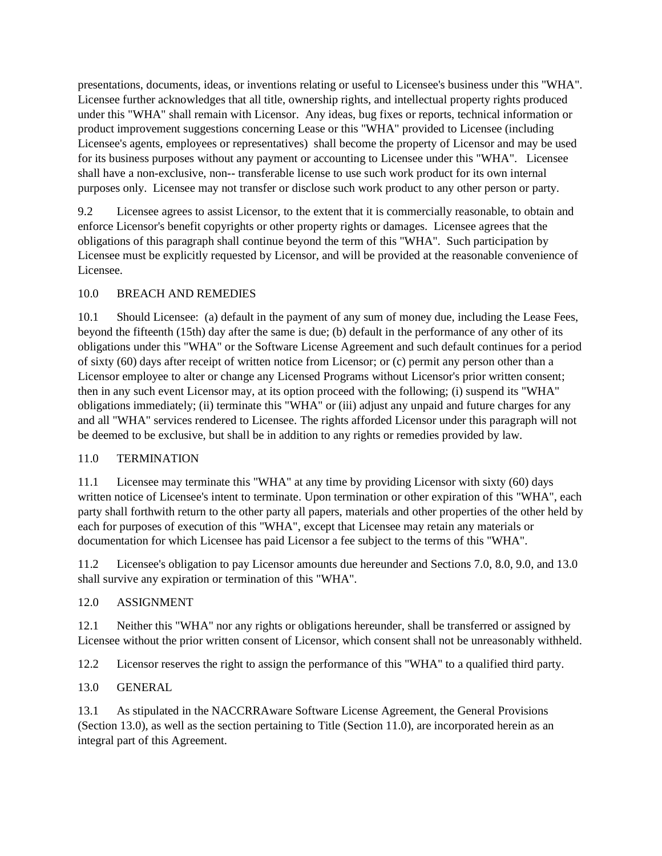presentations, documents, ideas, or inventions relating or useful to Licensee's business under this "WHA". Licensee further acknowledges that all title, ownership rights, and intellectual property rights produced under this "WHA" shall remain with Licensor. Any ideas, bug fixes or reports, technical information or product improvement suggestions concerning Lease or this "WHA" provided to Licensee (including Licensee's agents, employees or representatives) shall become the property of Licensor and may be used for its business purposes without any payment or accounting to Licensee under this "WHA". Licensee shall have a non-exclusive, non-- transferable license to use such work product for its own internal purposes only. Licensee may not transfer or disclose such work product to any other person or party.

9.2 Licensee agrees to assist Licensor, to the extent that it is commercially reasonable, to obtain and enforce Licensor's benefit copyrights or other property rights or damages. Licensee agrees that the obligations of this paragraph shall continue beyond the term of this "WHA". Such participation by Licensee must be explicitly requested by Licensor, and will be provided at the reasonable convenience of Licensee.

# 10.0 BREACH AND REMEDIES

10.1 Should Licensee: (a) default in the payment of any sum of money due, including the Lease Fees, beyond the fifteenth (15th) day after the same is due; (b) default in the performance of any other of its obligations under this "WHA" or the Software License Agreement and such default continues for a period of sixty (60) days after receipt of written notice from Licensor; or (c) permit any person other than a Licensor employee to alter or change any Licensed Programs without Licensor's prior written consent; then in any such event Licensor may, at its option proceed with the following; (i) suspend its "WHA" obligations immediately; (ii) terminate this "WHA" or (iii) adjust any unpaid and future charges for any and all "WHA" services rendered to Licensee. The rights afforded Licensor under this paragraph will not be deemed to be exclusive, but shall be in addition to any rights or remedies provided by law.

### 11.0 TERMINATION

11.1 Licensee may terminate this "WHA" at any time by providing Licensor with sixty (60) days written notice of Licensee's intent to terminate. Upon termination or other expiration of this "WHA", each party shall forthwith return to the other party all papers, materials and other properties of the other held by each for purposes of execution of this "WHA", except that Licensee may retain any materials or documentation for which Licensee has paid Licensor a fee subject to the terms of this "WHA".

11.2 Licensee's obligation to pay Licensor amounts due hereunder and Sections 7.0, 8.0, 9.0, and 13.0 shall survive any expiration or termination of this "WHA".

### 12.0 ASSIGNMENT

12.1 Neither this "WHA" nor any rights or obligations hereunder, shall be transferred or assigned by Licensee without the prior written consent of Licensor, which consent shall not be unreasonably withheld.

12.2 Licensor reserves the right to assign the performance of this "WHA" to a qualified third party.

# 13.0 GENERAL

13.1 As stipulated in the NACCRRAware Software License Agreement, the General Provisions (Section 13.0), as well as the section pertaining to Title (Section 11.0), are incorporated herein as an integral part of this Agreement.